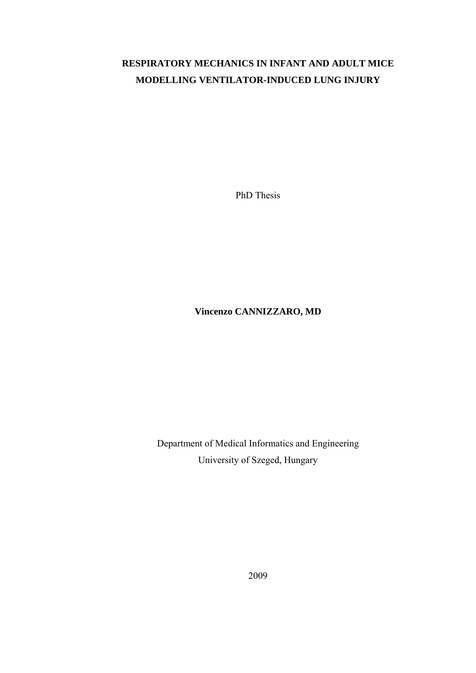# **RESPIRATORY MECHANICS IN INFANT AND ADULT MICE MODELLING VENTILATOR-INDUCED LUNG INJURY**

PhD Thesis

**Vincenzo CANNIZZARO, MD** 

Department of Medical Informatics and Engineering University of Szeged, Hungary

2009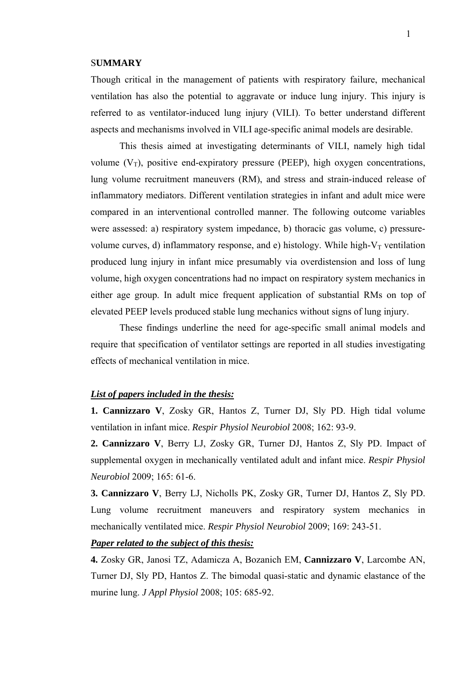### S**UMMARY**

Though critical in the management of patients with respiratory failure, mechanical ventilation has also the potential to aggravate or induce lung injury. This injury is referred to as ventilator-induced lung injury (VILI). To better understand different aspects and mechanisms involved in VILI age-specific animal models are desirable.

This thesis aimed at investigating determinants of VILI, namely high tidal volume  $(V_T)$ , positive end-expiratory pressure (PEEP), high oxygen concentrations, lung volume recruitment maneuvers (RM), and stress and strain-induced release of inflammatory mediators. Different ventilation strategies in infant and adult mice were compared in an interventional controlled manner. The following outcome variables were assessed: a) respiratory system impedance, b) thoracic gas volume, c) pressurevolume curves, d) inflammatory response, and e) histology. While high- $V_T$  ventilation produced lung injury in infant mice presumably via overdistension and loss of lung volume, high oxygen concentrations had no impact on respiratory system mechanics in either age group. In adult mice frequent application of substantial RMs on top of elevated PEEP levels produced stable lung mechanics without signs of lung injury.

 These findings underline the need for age-specific small animal models and require that specification of ventilator settings are reported in all studies investigating effects of mechanical ventilation in mice.

## *List of papers included in the thesis:*

**1. Cannizzaro V**, Zosky GR, Hantos Z, Turner DJ, Sly PD. High tidal volume ventilation in infant mice. *Respir Physiol Neurobiol* 2008; 162: 93-9.

**2. Cannizzaro V**, Berry LJ, Zosky GR, Turner DJ, Hantos Z, Sly PD. Impact of supplemental oxygen in mechanically ventilated adult and infant mice. *Respir Physiol Neurobiol* 2009; 165: 61-6.

**3. Cannizzaro V**, Berry LJ, Nicholls PK, Zosky GR, Turner DJ, Hantos Z, Sly PD. Lung volume recruitment maneuvers and respiratory system mechanics in mechanically ventilated mice. *Respir Physiol Neurobiol* 2009; 169: 243-51.

## *Paper related to the subject of this thesis:*

**4.** Zosky GR, Janosi TZ, Adamicza A, Bozanich EM, **Cannizzaro V**, Larcombe AN, Turner DJ, Sly PD, Hantos Z. [The bimodal quasi-static and dynamic elastance of the](http://www.ncbi.nlm.nih.gov/pubmed/18556435?ordinalpos=4&itool=EntrezSystem2.PEntrez.Pubmed.Pubmed_ResultsPanel.Pubmed_DefaultReportPanel.Pubmed_RVDocSum)  [murine lung.](http://www.ncbi.nlm.nih.gov/pubmed/18556435?ordinalpos=4&itool=EntrezSystem2.PEntrez.Pubmed.Pubmed_ResultsPanel.Pubmed_DefaultReportPanel.Pubmed_RVDocSum) *J Appl Physiol* 2008; 105: 685-92.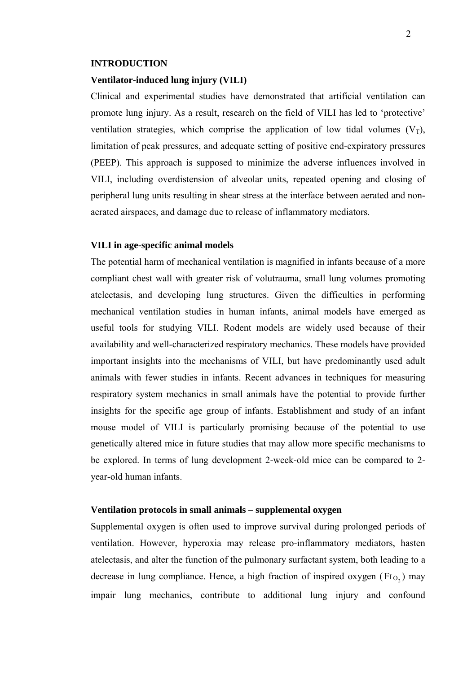#### **INTRODUCTION**

### **Ventilator-induced lung injury (VILI)**

Clinical and experimental studies have demonstrated that artificial ventilation can promote lung injury. As a result, research on the field of VILI has led to 'protective' ventilation strategies, which comprise the application of low tidal volumes  $(V_T)$ , limitation of peak pressures, and adequate setting of positive end-expiratory pressures (PEEP). This approach is supposed to minimize the adverse influences involved in VILI, including overdistension of alveolar units, repeated opening and closing of peripheral lung units resulting in shear stress at the interface between aerated and nonaerated airspaces, and damage due to release of inflammatory mediators.

### **VILI in age-specific animal models**

The potential harm of mechanical ventilation is magnified in infants because of a more compliant chest wall with greater risk of volutrauma, small lung volumes promoting atelectasis, and developing lung structures. Given the difficulties in performing mechanical ventilation studies in human infants, animal models have emerged as useful tools for studying VILI. Rodent models are widely used because of their availability and well-characterized respiratory mechanics. These models have provided important insights into the mechanisms of VILI, but have predominantly used adult animals with fewer studies in infants. Recent advances in techniques for measuring respiratory system mechanics in small animals have the potential to provide further insights for the specific age group of infants. Establishment and study of an infant mouse model of VILI is particularly promising because of the potential to use genetically altered mice in future studies that may allow more specific mechanisms to be explored. In terms of lung development 2-week-old mice can be compared to 2 year-old human infants.

### **Ventilation protocols in small animals – supplemental oxygen**

Supplemental oxygen is often used to improve survival during prolonged periods of ventilation. However, hyperoxia may release pro-inflammatory mediators, hasten atelectasis, and alter the function of the pulmonary surfactant system, both leading to a decrease in lung compliance. Hence, a high fraction of inspired oxygen  $(FI_{O_2})$  may impair lung mechanics, contribute to additional lung injury and confound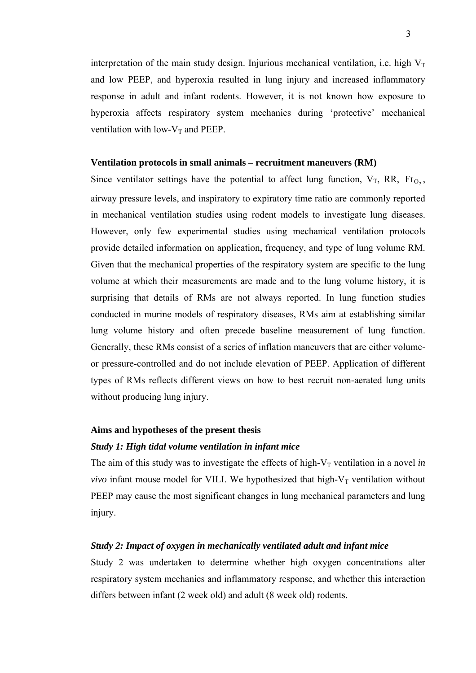interpretation of the main study design. Injurious mechanical ventilation, i.e. high  $V_T$ and low PEEP, and hyperoxia resulted in lung injury and increased inflammatory response in adult and infant rodents. However, it is not known how exposure to hyperoxia affects respiratory system mechanics during 'protective' mechanical ventilation with low- $V_T$  and PEEP.

### **Ventilation protocols in small animals – recruitment maneuvers (RM)**

Since ventilator settings have the potential to affect lung function,  $V_T$ , RR,  $F_{1O_2}$ , airway pressure levels, and inspiratory to expiratory time ratio are commonly reported in mechanical ventilation studies using rodent models to investigate lung diseases. However, only few experimental studies using mechanical ventilation protocols provide detailed information on application, frequency, and type of lung volume RM. Given that the mechanical properties of the respiratory system are specific to the lung volume at which their measurements are made and to the lung volume history, it is surprising that details of RMs are not always reported. In lung function studies conducted in murine models of respiratory diseases, RMs aim at establishing similar lung volume history and often precede baseline measurement of lung function. Generally, these RMs consist of a series of inflation maneuvers that are either volumeor pressure-controlled and do not include elevation of PEEP. Application of different types of RMs reflects different views on how to best recruit non-aerated lung units without producing lung injury.

#### **Aims and hypotheses of the present thesis**

### *Study 1: High tidal volume ventilation in infant mice*

The aim of this study was to investigate the effects of high- $V<sub>T</sub>$  ventilation in a novel *in vivo* infant mouse model for VILI. We hypothesized that high- $V_T$  ventilation without PEEP may cause the most significant changes in lung mechanical parameters and lung injury.

### *Study 2: Impact of oxygen in mechanically ventilated adult and infant mice*

Study 2 was undertaken to determine whether high oxygen concentrations alter respiratory system mechanics and inflammatory response, and whether this interaction differs between infant (2 week old) and adult (8 week old) rodents.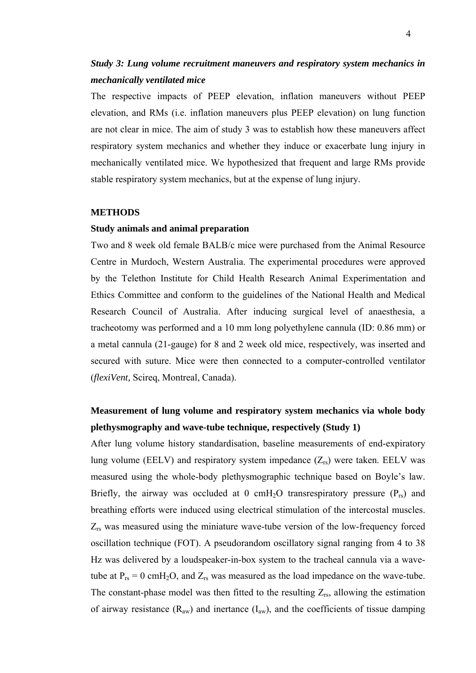# *Study 3: Lung volume recruitment maneuvers and respiratory system mechanics in mechanically ventilated mice*

The respective impacts of PEEP elevation, inflation maneuvers without PEEP elevation, and RMs (i.e. inflation maneuvers plus PEEP elevation) on lung function are not clear in mice. The aim of study 3 was to establish how these maneuvers affect respiratory system mechanics and whether they induce or exacerbate lung injury in mechanically ventilated mice. We hypothesized that frequent and large RMs provide stable respiratory system mechanics, but at the expense of lung injury.

### **METHODS**

## **Study animals and animal preparation**

Two and 8 week old female BALB/c mice were purchased from the Animal Resource Centre in Murdoch, Western Australia. The experimental procedures were approved by the Telethon Institute for Child Health Research Animal Experimentation and Ethics Committee and conform to the guidelines of the National Health and Medical Research Council of Australia. After inducing surgical level of anaesthesia, a tracheotomy was performed and a 10 mm long polyethylene cannula (ID: 0.86 mm) or a metal cannula (21-gauge) for 8 and 2 week old mice, respectively, was inserted and secured with suture. Mice were then connected to a computer-controlled ventilator (*flexiVent,* Scireq, Montreal, Canada).

# **Measurement of lung volume and respiratory system mechanics via whole body plethysmography and wave-tube technique, respectively (Study 1)**

After lung volume history standardisation, baseline measurements of end-expiratory lung volume (EELV) and respiratory system impedance  $(Z_{rs})$  were taken. EELV was measured using the whole-body plethysmographic technique based on Boyle's law. Briefly, the airway was occluded at 0 cmH<sub>2</sub>O transrespiratory pressure  $(P_{rs})$  and breathing efforts were induced using electrical stimulation of the intercostal muscles. Zrs was measured using the miniature wave-tube version of the low-frequency forced oscillation technique (FOT). A pseudorandom oscillatory signal ranging from 4 to 38 Hz was delivered by a loudspeaker-in-box system to the tracheal cannula via a wavetube at  $P_{rs} = 0$  cmH<sub>2</sub>O, and  $Z_{rs}$  was measured as the load impedance on the wave-tube. The constant-phase model was then fitted to the resulting  $Z_{rs}$ , allowing the estimation of airway resistance  $(R_{aw})$  and inertance  $(I_{aw})$ , and the coefficients of tissue damping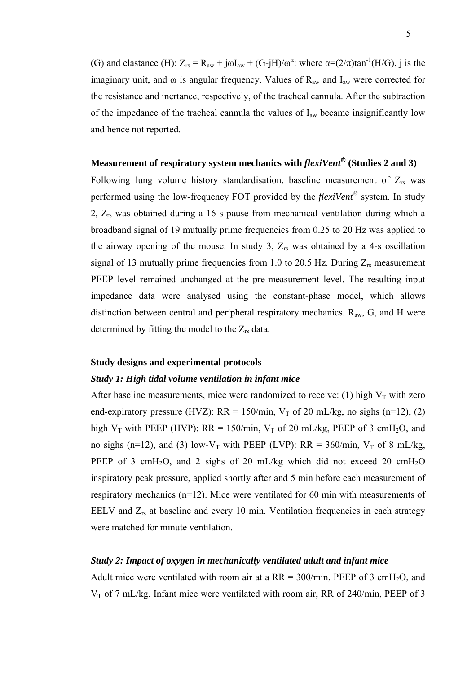(G) and elastance (H):  $Z_{rs} = R_{aw} + j\omega I_{aw} + (G-jH)/\omega^{\alpha}$ : where  $\alpha = (2/\pi) \tan^{-1}(H/G)$ , j is the imaginary unit, and  $\omega$  is angular frequency. Values of R<sub>aw</sub> and I<sub>aw</sub> were corrected for the resistance and inertance, respectively, of the tracheal cannula. After the subtraction of the impedance of the tracheal cannula the values of  $I_{aw}$  became insignificantly low and hence not reported.

# **Measurement of respiratory system mechanics with** *flexiVent*® **(Studies 2 and 3)**

Following lung volume history standardisation, baseline measurement of  $Z_{rs}$  was performed using the low-frequency FOT provided by the *flexiVent®* system. In study 2, Zrs was obtained during a 16 s pause from mechanical ventilation during which a broadband signal of 19 mutually prime frequencies from 0.25 to 20 Hz was applied to the airway opening of the mouse. In study 3,  $Z_{rs}$  was obtained by a 4-s oscillation signal of 13 mutually prime frequencies from 1.0 to 20.5 Hz. During  $Z_{rs}$  measurement PEEP level remained unchanged at the pre-measurement level. The resulting input impedance data were analysed using the constant-phase model, which allows distinction between central and peripheral respiratory mechanics.  $R_{aw}$ , G, and H were determined by fitting the model to the  $Z_{rs}$  data.

### **Study designs and experimental protocols**

### *Study 1: High tidal volume ventilation in infant mice*

After baseline measurements, mice were randomized to receive: (1) high  $V_T$  with zero end-expiratory pressure (HVZ):  $RR = 150/min$ ,  $V<sub>T</sub>$  of 20 mL/kg, no sighs (n=12), (2) high  $V_T$  with PEEP (HVP): RR = 150/min,  $V_T$  of 20 mL/kg, PEEP of 3 cmH<sub>2</sub>O, and no sighs (n=12), and (3) low-V<sub>T</sub> with PEEP (LVP): RR = 360/min, V<sub>T</sub> of 8 mL/kg, PEEP of 3 cmH<sub>2</sub>O, and 2 sighs of 20 mL/kg which did not exceed 20 cmH<sub>2</sub>O inspiratory peak pressure, applied shortly after and 5 min before each measurement of respiratory mechanics (n=12). Mice were ventilated for 60 min with measurements of EELV and  $Z_{rs}$  at baseline and every 10 min. Ventilation frequencies in each strategy were matched for minute ventilation.

### *Study 2: Impact of oxygen in mechanically ventilated adult and infant mice*

Adult mice were ventilated with room air at a  $RR = 300/min$ , PEEP of 3 cmH<sub>2</sub>O, and  $V<sub>T</sub>$  of 7 mL/kg. Infant mice were ventilated with room air, RR of 240/min, PEEP of 3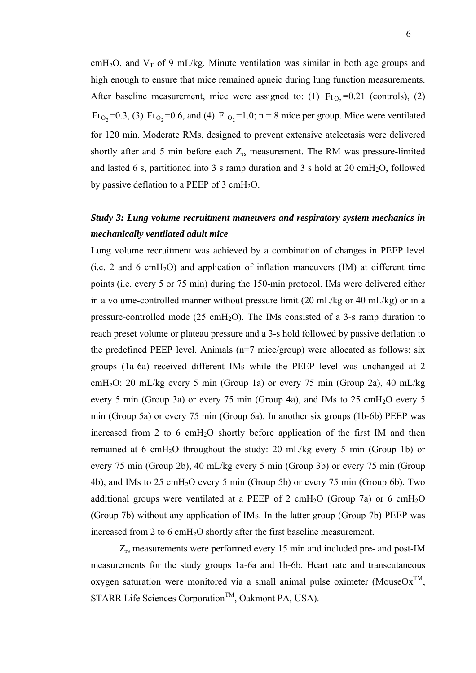cmH<sub>2</sub>O, and  $V_T$  of 9 mL/kg. Minute ventilation was similar in both age groups and high enough to ensure that mice remained apneic during lung function measurements. After baseline measurement, mice were assigned to: (1)  $F_{10_2} = 0.21$  (controls), (2)  $\text{Fi}_{\text{O}_2}$ =0.3, (3)  $\text{Fi}_{\text{O}_2}$ =0.6, and (4)  $\text{Fi}_{\text{O}_2}$ =1.0; n = 8 mice per group. Mice were ventilated for 120 min. Moderate RMs, designed to prevent extensive atelectasis were delivered shortly after and 5 min before each  $Z_{rs}$  measurement. The RM was pressure-limited and lasted 6 s, partitioned into 3 s ramp duration and 3 s hold at 20 cmH<sub>2</sub>O, followed by passive deflation to a PEEP of  $3 \text{ cm}H_2O$ .

# *Study 3: Lung volume recruitment maneuvers and respiratory system mechanics in mechanically ventilated adult mice*

Lung volume recruitment was achieved by a combination of changes in PEEP level  $(i.e. 2 and 6 cmH<sub>2</sub>O)$  and application of inflation maneuvers  $(IM)$  at different time points (i.e. every 5 or 75 min) during the 150-min protocol. IMs were delivered either in a volume-controlled manner without pressure limit (20 mL/kg or 40 mL/kg) or in a pressure-controlled mode  $(25 \text{ cmH}_2\text{O})$ . The IMs consisted of a 3-s ramp duration to reach preset volume or plateau pressure and a 3-s hold followed by passive deflation to the predefined PEEP level. Animals (n=7 mice/group) were allocated as follows: six groups (1a-6a) received different IMs while the PEEP level was unchanged at 2 cmH<sub>2</sub>O: 20 mL/kg every 5 min (Group 1a) or every 75 min (Group 2a), 40 mL/kg every 5 min (Group 3a) or every 75 min (Group 4a), and IMs to 25 cmH<sub>2</sub>O every 5 min (Group 5a) or every 75 min (Group 6a). In another six groups (1b-6b) PEEP was increased from 2 to 6 cmH<sub>2</sub>O shortly before application of the first IM and then remained at 6 cmH<sub>2</sub>O throughout the study: 20 mL/kg every 5 min (Group 1b) or every 75 min (Group 2b), 40 mL/kg every 5 min (Group 3b) or every 75 min (Group 4b), and IMs to 25 cmH<sub>2</sub>O every 5 min (Group 5b) or every 75 min (Group 6b). Two additional groups were ventilated at a PEEP of 2 cmH<sub>2</sub>O (Group 7a) or 6 cmH<sub>2</sub>O (Group 7b) without any application of IMs. In the latter group (Group 7b) PEEP was increased from 2 to 6 cmH<sub>2</sub>O shortly after the first baseline measurement.

Zrs measurements were performed every 15 min and included pre- and post-IM measurements for the study groups 1a-6a and 1b-6b. Heart rate and transcutaneous oxygen saturation were monitored via a small animal pulse oximeter (Mouse $Ox^{TM}$ , STARR Life Sciences Corporation<sup>TM</sup>, Oakmont PA, USA).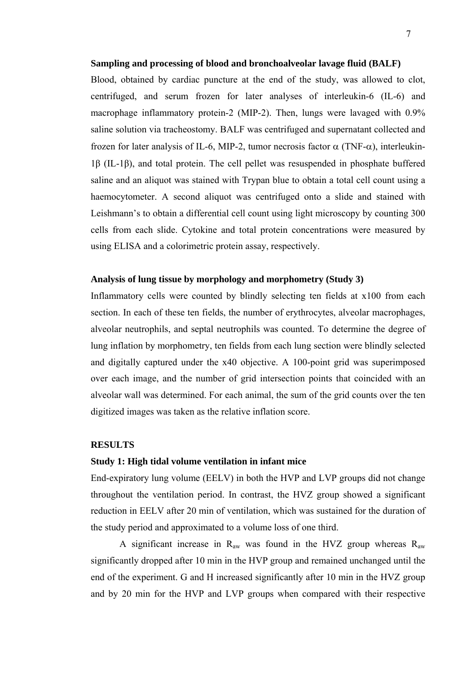### **Sampling and processing of blood and bronchoalveolar lavage fluid (BALF)**

Blood, obtained by cardiac puncture at the end of the study, was allowed to clot, centrifuged, and serum frozen for later analyses of interleukin-6 (IL-6) and macrophage inflammatory protein-2 (MIP-2). Then, lungs were lavaged with 0.9% saline solution via tracheostomy. BALF was centrifuged and supernatant collected and frozen for later analysis of IL-6, MIP-2, tumor necrosis factor α (TNF-α), interleukin-1β (IL-1β), and total protein. The cell pellet was resuspended in phosphate buffered saline and an aliquot was stained with Trypan blue to obtain a total cell count using a haemocytometer. A second aliquot was centrifuged onto a slide and stained with Leishmann's to obtain a differential cell count using light microscopy by counting 300 cells from each slide. Cytokine and total protein concentrations were measured by using ELISA and a colorimetric protein assay, respectively.

# **Analysis of lung tissue by morphology and morphometry (Study 3)**

Inflammatory cells were counted by blindly selecting ten fields at x100 from each section. In each of these ten fields, the number of erythrocytes, alveolar macrophages, alveolar neutrophils, and septal neutrophils was counted. To determine the degree of lung inflation by morphometry, ten fields from each lung section were blindly selected and digitally captured under the x40 objective. A 100-point grid was superimposed over each image, and the number of grid intersection points that coincided with an alveolar wall was determined. For each animal, the sum of the grid counts over the ten digitized images was taken as the relative inflation score.

# **RESULTS**

### **Study 1: High tidal volume ventilation in infant mice**

End-expiratory lung volume (EELV) in both the HVP and LVP groups did not change throughout the ventilation period. In contrast, the HVZ group showed a significant reduction in EELV after 20 min of ventilation, which was sustained for the duration of the study period and approximated to a volume loss of one third.

A significant increase in  $R_{aw}$  was found in the HVZ group whereas  $R_{aw}$ significantly dropped after 10 min in the HVP group and remained unchanged until the end of the experiment. G and H increased significantly after 10 min in the HVZ group and by 20 min for the HVP and LVP groups when compared with their respective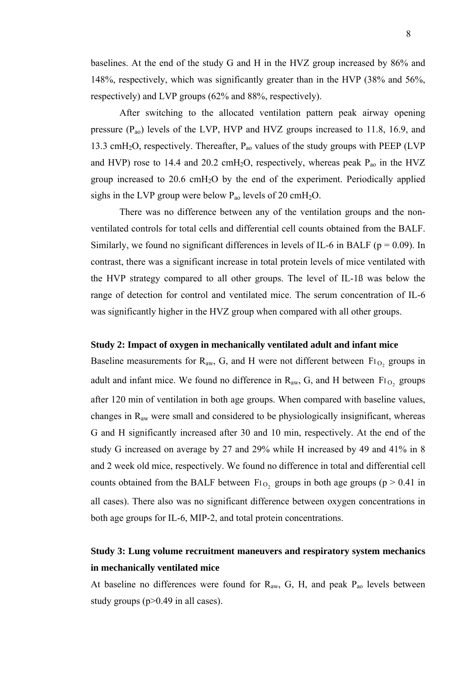baselines. At the end of the study G and H in the HVZ group increased by 86% and 148%, respectively, which was significantly greater than in the HVP (38% and 56%, respectively) and LVP groups (62% and 88%, respectively).

After switching to the allocated ventilation pattern peak airway opening pressure (Pao) levels of the LVP, HVP and HVZ groups increased to 11.8, 16.9, and 13.3 cmH<sub>2</sub>O, respectively. Thereafter,  $P_{ao}$  values of the study groups with PEEP (LVP) and HVP) rose to 14.4 and 20.2 cmH<sub>2</sub>O, respectively, whereas peak  $P_{ao}$  in the HVZ group increased to  $20.6 \text{ cm}H_2O$  by the end of the experiment. Periodically applied sighs in the LVP group were below  $P_{ao}$  levels of 20 cmH<sub>2</sub>O.

There was no difference between any of the ventilation groups and the nonventilated controls for total cells and differential cell counts obtained from the BALF. Similarly, we found no significant differences in levels of IL-6 in BALF ( $p = 0.09$ ). In contrast, there was a significant increase in total protein levels of mice ventilated with the HVP strategy compared to all other groups. The level of IL-1ß was below the range of detection for control and ventilated mice. The serum concentration of IL-6 was significantly higher in the HVZ group when compared with all other groups.

### **Study 2: Impact of oxygen in mechanically ventilated adult and infant mice**

Baseline measurements for  $R_{aw}$ , G, and H were not different between  $Fi_{O_2}$  groups in adult and infant mice. We found no difference in  $R_{aw}$ , G, and H between  $F_{1Q_2}$  groups after 120 min of ventilation in both age groups. When compared with baseline values, changes in Raw were small and considered to be physiologically insignificant, whereas G and H significantly increased after 30 and 10 min, respectively. At the end of the study G increased on average by 27 and 29% while H increased by 49 and 41% in 8 and 2 week old mice, respectively. We found no difference in total and differential cell counts obtained from the BALF between  $Fi_{O_2}$  groups in both age groups (p > 0.41 in all cases). There also was no significant difference between oxygen concentrations in both age groups for IL-6, MIP-2, and total protein concentrations.

# **Study 3: Lung volume recruitment maneuvers and respiratory system mechanics in mechanically ventilated mice**

At baseline no differences were found for  $R_{aw}$ , G, H, and peak  $P_{ao}$  levels between study groups (p>0.49 in all cases).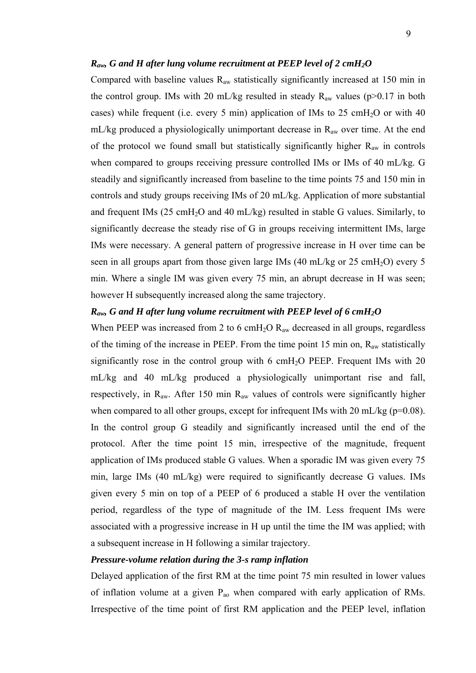### *Raw, G and H after lung volume recruitment at PEEP level of 2 cmH2O*

Compared with baseline values  $R_{aw}$  statistically significantly increased at 150 min in the control group. IMs with 20 mL/kg resulted in steady  $R_{aw}$  values (p>0.17 in both cases) while frequent (i.e. every 5 min) application of IMs to 25 cmH<sub>2</sub>O or with 40 mL/kg produced a physiologically unimportant decrease in  $R_{aw}$  over time. At the end of the protocol we found small but statistically significantly higher  $R_{aw}$  in controls when compared to groups receiving pressure controlled IMs or IMs of 40 mL/kg. G steadily and significantly increased from baseline to the time points 75 and 150 min in controls and study groups receiving IMs of 20 mL/kg. Application of more substantial and frequent IMs  $(25 \text{ cm}H_2O \text{ and } 40 \text{ mL/kg})$  resulted in stable G values. Similarly, to significantly decrease the steady rise of G in groups receiving intermittent IMs, large IMs were necessary. A general pattern of progressive increase in H over time can be seen in all groups apart from those given large IMs  $(40 \text{ mL/kg or } 25 \text{ cmH}_2\text{O})$  every 5 min. Where a single IM was given every 75 min, an abrupt decrease in H was seen; however H subsequently increased along the same trajectory.

# *Raw, G and H after lung volume recruitment with PEEP level of 6 cmH2O*

When PEEP was increased from 2 to 6 cmH<sub>2</sub>O  $R_{aw}$  decreased in all groups, regardless of the timing of the increase in PEEP. From the time point 15 min on,  $R_{aw}$  statistically significantly rose in the control group with 6 cmH<sub>2</sub>O PEEP. Frequent IMs with 20 mL/kg and 40 mL/kg produced a physiologically unimportant rise and fall, respectively, in  $R_{aw}$ . After 150 min  $R_{aw}$  values of controls were significantly higher when compared to all other groups, except for infrequent IMs with 20 mL/kg ( $p=0.08$ ). In the control group G steadily and significantly increased until the end of the protocol. After the time point 15 min, irrespective of the magnitude, frequent application of IMs produced stable G values. When a sporadic IM was given every 75 min, large IMs (40 mL/kg) were required to significantly decrease G values. IMs given every 5 min on top of a PEEP of 6 produced a stable H over the ventilation period, regardless of the type of magnitude of the IM. Less frequent IMs were associated with a progressive increase in H up until the time the IM was applied; with a subsequent increase in H following a similar trajectory.

## *Pressure-volume relation during the 3-s ramp inflation*

Delayed application of the first RM at the time point 75 min resulted in lower values of inflation volume at a given Pao when compared with early application of RMs. Irrespective of the time point of first RM application and the PEEP level, inflation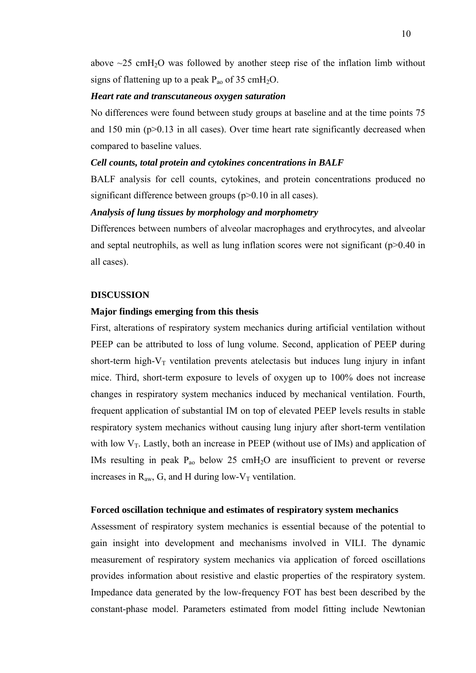above  $\sim$ 25 cmH<sub>2</sub>O was followed by another steep rise of the inflation limb without signs of flattening up to a peak  $P_{ao}$  of 35 cmH<sub>2</sub>O.

### *Heart rate and transcutaneous oxygen saturation*

No differences were found between study groups at baseline and at the time points 75 and 150 min (p>0.13 in all cases). Over time heart rate significantly decreased when compared to baseline values.

# *Cell counts, total protein and cytokines concentrations in BALF*

BALF analysis for cell counts, cytokines, and protein concentrations produced no significant difference between groups (p>0.10 in all cases).

# *Analysis of lung tissues by morphology and morphometry*

Differences between numbers of alveolar macrophages and erythrocytes, and alveolar and septal neutrophils, as well as lung inflation scores were not significant (p>0.40 in all cases).

## **DISCUSSION**

### **Major findings emerging from this thesis**

First, alterations of respiratory system mechanics during artificial ventilation without PEEP can be attributed to loss of lung volume. Second, application of PEEP during short-term high- $V_T$  ventilation prevents atelectasis but induces lung injury in infant mice. Third, short-term exposure to levels of oxygen up to 100% does not increase changes in respiratory system mechanics induced by mechanical ventilation. Fourth, frequent application of substantial IM on top of elevated PEEP levels results in stable respiratory system mechanics without causing lung injury after short-term ventilation with low  $V_T$ . Lastly, both an increase in PEEP (without use of IMs) and application of IMs resulting in peak  $P_{ao}$  below 25 cmH<sub>2</sub>O are insufficient to prevent or reverse increases in  $R_{aw}$ , G, and H during low- $V_T$  ventilation.

### **Forced oscillation technique and estimates of respiratory system mechanics**

Assessment of respiratory system mechanics is essential because of the potential to gain insight into development and mechanisms involved in VILI. The dynamic measurement of respiratory system mechanics via application of forced oscillations provides information about resistive and elastic properties of the respiratory system. Impedance data generated by the low-frequency FOT has best been described by the constant-phase model. Parameters estimated from model fitting include Newtonian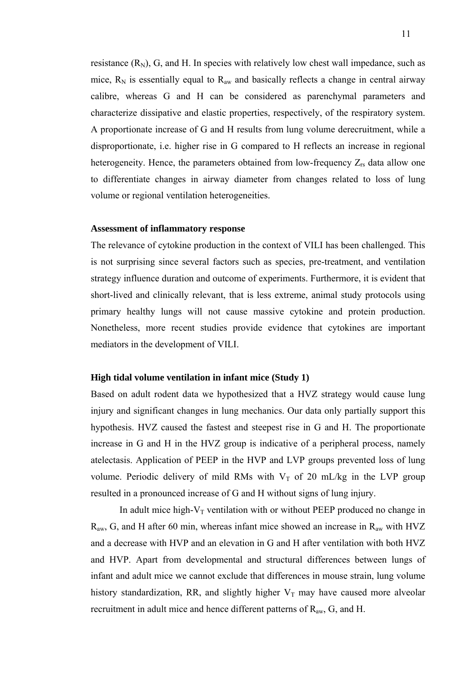resistance  $(R_N)$ , G, and H. In species with relatively low chest wall impedance, such as mice,  $R_N$  is essentially equal to  $R_{aw}$  and basically reflects a change in central airway calibre, whereas G and H can be considered as parenchymal parameters and characterize dissipative and elastic properties, respectively, of the respiratory system. A proportionate increase of G and H results from lung volume derecruitment, while a disproportionate, i.e. higher rise in G compared to H reflects an increase in regional heterogeneity. Hence, the parameters obtained from low-frequency  $Z_{rs}$  data allow one to differentiate changes in airway diameter from changes related to loss of lung volume or regional ventilation heterogeneities.

### **Assessment of inflammatory response**

The relevance of cytokine production in the context of VILI has been challenged. This is not surprising since several factors such as species, pre-treatment, and ventilation strategy influence duration and outcome of experiments. Furthermore, it is evident that short-lived and clinically relevant, that is less extreme, animal study protocols using primary healthy lungs will not cause massive cytokine and protein production. Nonetheless, more recent studies provide evidence that cytokines are important mediators in the development of VILI.

### **High tidal volume ventilation in infant mice (Study 1)**

Based on adult rodent data we hypothesized that a HVZ strategy would cause lung injury and significant changes in lung mechanics. Our data only partially support this hypothesis. HVZ caused the fastest and steepest rise in G and H. The proportionate increase in G and H in the HVZ group is indicative of a peripheral process, namely atelectasis. Application of PEEP in the HVP and LVP groups prevented loss of lung volume. Periodic delivery of mild RMs with  $V_T$  of 20 mL/kg in the LVP group resulted in a pronounced increase of G and H without signs of lung injury.

In adult mice high- $V_T$  ventilation with or without PEEP produced no change in  $R_{aw}$ , G, and H after 60 min, whereas infant mice showed an increase in  $R_{aw}$  with HVZ and a decrease with HVP and an elevation in G and H after ventilation with both HVZ and HVP. Apart from developmental and structural differences between lungs of infant and adult mice we cannot exclude that differences in mouse strain, lung volume history standardization, RR, and slightly higher  $V_T$  may have caused more alveolar recruitment in adult mice and hence different patterns of  $R_{aw}$ , G, and H.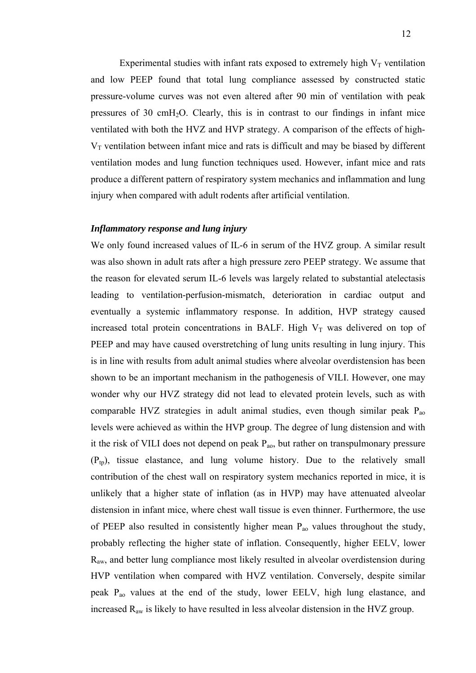Experimental studies with infant rats exposed to extremely high  $V_T$  ventilation and low PEEP found that total lung compliance assessed by constructed static pressure-volume curves was not even altered after 90 min of ventilation with peak pressures of 30 cmH2O. Clearly, this is in contrast to our findings in infant mice ventilated with both the HVZ and HVP strategy. A comparison of the effects of high- $V<sub>T</sub>$  ventilation between infant mice and rats is difficult and may be biased by different ventilation modes and lung function techniques used. However, infant mice and rats produce a different pattern of respiratory system mechanics and inflammation and lung injury when compared with adult rodents after artificial ventilation.

# *Inflammatory response and lung injury*

We only found increased values of IL-6 in serum of the HVZ group. A similar result was also shown in adult rats after a high pressure zero PEEP strategy. We assume that the reason for elevated serum IL-6 levels was largely related to substantial atelectasis leading to ventilation-perfusion-mismatch, deterioration in cardiac output and eventually a systemic inflammatory response. In addition, HVP strategy caused increased total protein concentrations in BALF. High  $V_T$  was delivered on top of PEEP and may have caused overstretching of lung units resulting in lung injury. This is in line with results from adult animal studies where alveolar overdistension has been shown to be an important mechanism in the pathogenesis of VILI. However, one may wonder why our HVZ strategy did not lead to elevated protein levels, such as with comparable HVZ strategies in adult animal studies, even though similar peak  $P_{ao}$ levels were achieved as within the HVP group. The degree of lung distension and with it the risk of VILI does not depend on peak  $P_{ao}$ , but rather on transpulmonary pressure  $(P_{tn})$ , tissue elastance, and lung volume history. Due to the relatively small contribution of the chest wall on respiratory system mechanics reported in mice, it is unlikely that a higher state of inflation (as in HVP) may have attenuated alveolar distension in infant mice, where chest wall tissue is even thinner. Furthermore, the use of PEEP also resulted in consistently higher mean  $P_{ao}$  values throughout the study, probably reflecting the higher state of inflation. Consequently, higher EELV, lower Raw, and better lung compliance most likely resulted in alveolar overdistension during HVP ventilation when compared with HVZ ventilation. Conversely, despite similar peak Pao values at the end of the study, lower EELV, high lung elastance, and increased Raw is likely to have resulted in less alveolar distension in the HVZ group.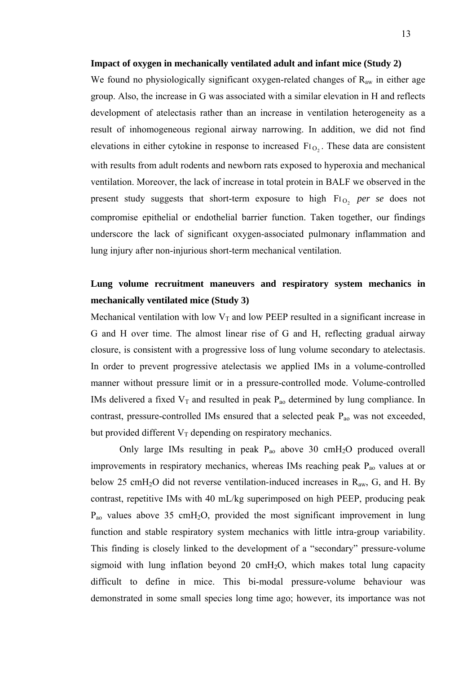### **Impact of oxygen in mechanically ventilated adult and infant mice (Study 2)**

We found no physiologically significant oxygen-related changes of R<sub>aw</sub> in either age group. Also, the increase in G was associated with a similar elevation in H and reflects development of atelectasis rather than an increase in ventilation heterogeneity as a result of inhomogeneous regional airway narrowing. In addition, we did not find elevations in either cytokine in response to increased  $Fi_{O_2}$ . These data are consistent with results from adult rodents and newborn rats exposed to hyperoxia and mechanical ventilation. Moreover, the lack of increase in total protein in BALF we observed in the present study suggests that short-term exposure to high FI<sub>O<sub>2</sub></sub> per se does not compromise epithelial or endothelial barrier function. Taken together, our findings underscore the lack of significant oxygen-associated pulmonary inflammation and lung injury after non-injurious short-term mechanical ventilation.

# **Lung volume recruitment maneuvers and respiratory system mechanics in mechanically ventilated mice (Study 3)**

Mechanical ventilation with low  $V_T$  and low PEEP resulted in a significant increase in G and H over time. The almost linear rise of G and H, reflecting gradual airway closure, is consistent with a progressive loss of lung volume secondary to atelectasis. In order to prevent progressive atelectasis we applied IMs in a volume-controlled manner without pressure limit or in a pressure-controlled mode. Volume-controlled IMs delivered a fixed  $V_T$  and resulted in peak  $P_{ao}$  determined by lung compliance. In contrast, pressure-controlled IMs ensured that a selected peak  $P_{ao}$  was not exceeded, but provided different  $V_T$  depending on respiratory mechanics.

Only large IMs resulting in peak  $P_{ao}$  above 30 cmH<sub>2</sub>O produced overall improvements in respiratory mechanics, whereas IMs reaching peak P<sub>ao</sub> values at or below 25 cmH<sub>2</sub>O did not reverse ventilation-induced increases in  $R_{aw}$ , G, and H. By contrast, repetitive IMs with 40 mL/kg superimposed on high PEEP, producing peak  $P_{ao}$  values above 35 cmH<sub>2</sub>O, provided the most significant improvement in lung function and stable respiratory system mechanics with little intra-group variability. This finding is closely linked to the development of a "secondary" pressure-volume sigmoid with lung inflation beyond 20  $\text{cm}H_2O$ , which makes total lung capacity difficult to define in mice. This bi-modal pressure-volume behaviour was demonstrated in some small species long time ago; however, its importance was not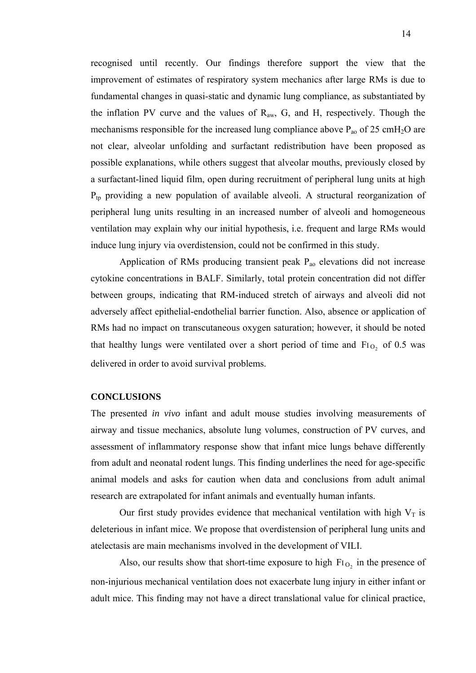recognised until recently. Our findings therefore support the view that the improvement of estimates of respiratory system mechanics after large RMs is due to fundamental changes in quasi-static and dynamic lung compliance, as substantiated by the inflation PV curve and the values of  $R_{aw}$ , G, and H, respectively. Though the mechanisms responsible for the increased lung compliance above  $P_{ao}$  of 25 cmH<sub>2</sub>O are not clear, alveolar unfolding and surfactant redistribution have been proposed as possible explanations, while others suggest that alveolar mouths, previously closed by a surfactant-lined liquid film, open during recruitment of peripheral lung units at high  $P_{tp}$  providing a new population of available alveoli. A structural reorganization of peripheral lung units resulting in an increased number of alveoli and homogeneous ventilation may explain why our initial hypothesis, i.e. frequent and large RMs would induce lung injury via overdistension, could not be confirmed in this study.

Application of RMs producing transient peak  $P_{ao}$  elevations did not increase cytokine concentrations in BALF. Similarly, total protein concentration did not differ between groups, indicating that RM-induced stretch of airways and alveoli did not adversely affect epithelial-endothelial barrier function. Also, absence or application of RMs had no impact on transcutaneous oxygen saturation; however, it should be noted that healthy lungs were ventilated over a short period of time and  $Fi_{O_2}$  of 0.5 was delivered in order to avoid survival problems.

### **CONCLUSIONS**

The presented *in vivo* infant and adult mouse studies involving measurements of airway and tissue mechanics, absolute lung volumes, construction of PV curves, and assessment of inflammatory response show that infant mice lungs behave differently from adult and neonatal rodent lungs. This finding underlines the need for age-specific animal models and asks for caution when data and conclusions from adult animal research are extrapolated for infant animals and eventually human infants.

Our first study provides evidence that mechanical ventilation with high  $V_T$  is deleterious in infant mice. We propose that overdistension of peripheral lung units and atelectasis are main mechanisms involved in the development of VILI.

Also, our results show that short-time exposure to high  $Fi_{O_2}$  in the presence of non-injurious mechanical ventilation does not exacerbate lung injury in either infant or adult mice. This finding may not have a direct translational value for clinical practice,